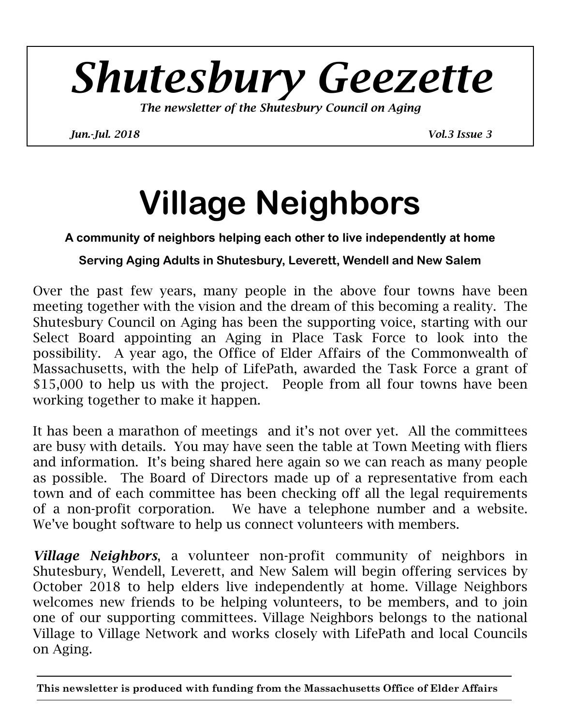# *Shutesbury Geezette*

*The newsletter of the Shutesbury Council on Aging* 

*Jun.-Jul. 2018 Vol.3 Issue 3* 

# **Village Neighbors**

#### **A community of neighbors helping each other to live independently at home**

#### **Serving Aging Adults in Shutesbury, Leverett, Wendell and New Salem**

Over the past few years, many people in the above four towns have been meeting together with the vision and the dream of this becoming a reality. The Shutesbury Council on Aging has been the supporting voice, starting with our Select Board appointing an Aging in Place Task Force to look into the possibility. A year ago, the Office of Elder Affairs of the Commonwealth of Massachusetts, with the help of LifePath, awarded the Task Force a grant of \$15,000 to help us with the project. People from all four towns have been working together to make it happen.

It has been a marathon of meetings and it's not over yet. All the committees are busy with details. You may have seen the table at Town Meeting with fliers and information. It's being shared here again so we can reach as many people as possible. The Board of Directors made up of a representative from each town and of each committee has been checking off all the legal requirements of a non-profit corporation. We have a telephone number and a website. We've bought software to help us connect volunteers with members.

*Village Neighbors*, a volunteer non-profit community of neighbors in Shutesbury, Wendell, Leverett, and New Salem will begin offering services by October 2018 to help elders live independently at home. Village Neighbors welcomes new friends to be helping volunteers, to be members, and to join one of our supporting committees. Village Neighbors belongs to the national Village to Village Network and works closely with LifePath and local Councils on Aging.

**This newsletter is produced with funding from the Massachusetts Office of Elder Affairs**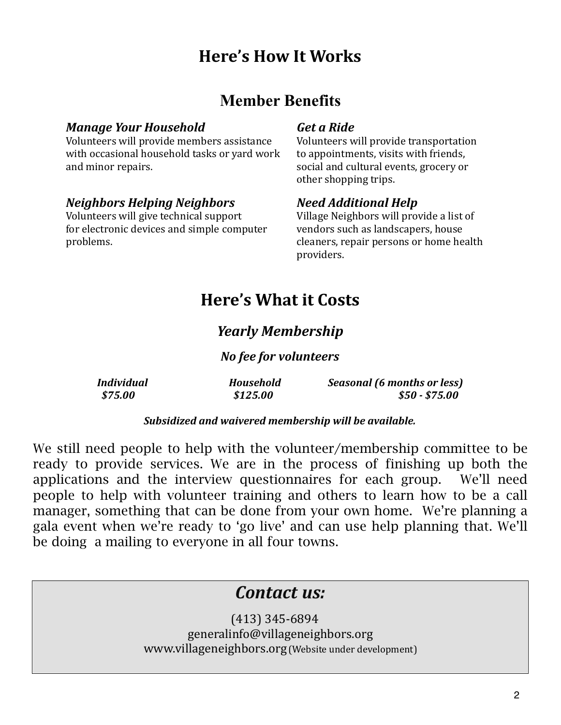## **Here's How It Works**

#### **Member Benefits**

#### *Manage Your Household Get a Ride*

Volunteers will provide members assistance <br>
Volunteers will provide transportation with occasional household tasks or vard work  $\qquad$  to appointments, visits with friends, and minor repairs. The social and cultural events, grocery or

#### *Neighbors Helping Neighbors Need Additional Help*

Volunteers will give technical support Village Neighbors will provide a list of for electronic devices and simple computer vendors such as landscapers, house problems. The cleaners, repair persons or home health

other shopping trips.

 providers.

### **Here's What it Costs**

#### *Yearly Membership*

#### *No fee for volunteers*

| <b>Individual</b> | <b>Household</b> | Seasonal (6 months or less) |
|-------------------|------------------|-----------------------------|
| \$75.00           | \$125.00         | $$50 - $75.00$              |

#### Subsidized and waivered membership will be available.

We still need people to help with the volunteer/membership committee to be ready to provide services. We are in the process of finishing up both the applications and the interview questionnaires for each group. We'll need people to help with volunteer training and others to learn how to be a call manager, something that can be done from your own home. We're planning a gala event when we're ready to 'go live' and can use help planning that. We'll be doing a mailing to everyone in all four towns.

#### *Contact us:*

(413) 345-6894 generalinfo@villageneighbors.org www.villageneighbors.org (Website under development)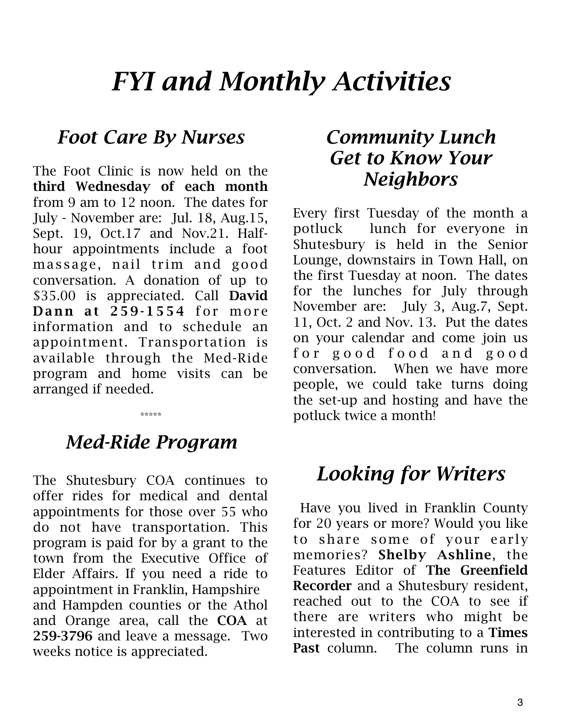# *FYI and Monthly Activities*

## *Foot Care By Nurses*

The Foot Clinic is now held on the third Wednesday of each month from 9 am to 12 noon. The dates for July - November are: Jul. 18, Aug.15, Sept. 19, Oct.17 and Nov.21. Halfhour appointments include a foot massage, nail trim and good conversation. A donation of up to \$35.00 is appreciated. Call David Dann at  $259-1554$  for more information and to schedule an appointment. Transportation is available through the Med-Ride program and home visits can be arranged if needed.

# *Med-Ride Program*

\*\*\*\*\*

The Shutesbury COA continues to offer rides for medical and dental appointments for those over 55 who do not have transportation. This program is paid for by a grant to the town from the Executive Office of Elder Affairs. If you need a ride to appointment in Franklin, Hampshire and Hampden counties or the Athol and Orange area, call the COA at 259-3796 and leave a message. Two weeks notice is appreciated.

## *Community Lunch Get to Know Your Neighbors*

Every first Tuesday of the month a potluck lunch for everyone in Shutesbury is held in the Senior Lounge, downstairs in Town Hall, on the first Tuesday at noon. The dates for the lunches for July through November are: July 3, Aug.7, Sept. 11, Oct. 2 and Nov. 13. Put the dates on your calendar and come join us for good food and good conversation. When we have more people, we could take turns doing the set-up and hosting and have the potluck twice a month!

# *Looking for Writers*

 Have you lived in Franklin County for 20 years or more? Would you like to share some of your early memories? Shelby Ashline, the Features Editor of The Greenfield Recorder and a Shutesbury resident, reached out to the COA to see if there are writers who might be interested in contributing to a Times Past column. The column runs in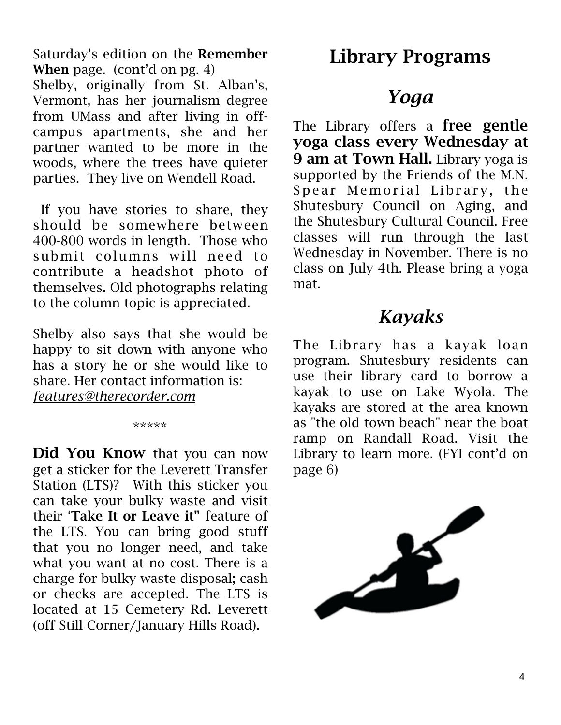Saturday's edition on the Remember When page. (cont'd on pg. 4)

Shelby, originally from St. Alban's, Vermont, has her journalism degree from UMass and after living in offcampus apartments, she and her partner wanted to be more in the woods, where the trees have quieter parties. They live on Wendell Road.

 If you have stories to share, they should be somewhere between 400-800 words in length. Those who submit columns will need to contribute a headshot photo of themselves. Old photographs relating to the column topic is appreciated.

Shelby also says that she would be happy to sit down with anyone who has a story he or she would like to share. Her contact information is: *[features@therecorder.com](mailto:features@therecorder.com)*

#### \*\*\*\*\*

Did You Know that you can now get a sticker for the Leverett Transfer Station (LTS)? With this sticker you can take your bulky waste and visit their 'Take It or Leave it" feature of the LTS. You can bring good stuff that you no longer need, and take what you want at no cost. There is a charge for bulky waste disposal; cash or checks are accepted. The LTS is located at 15 Cemetery Rd. Leverett (off Still Corner/January Hills Road).

# Library Programs

# *Yoga*

The Library offers a free gentle yoga class every Wednesday at 9 am at Town Hall. Library yoga is supported by the Friends of the M.N. Spear Memorial Library, the Shutesbury Council on Aging, and the Shutesbury Cultural Council. Free classes will run through the last Wednesday in November. There is no class on July 4th. Please bring a yoga mat.

#### *Kayaks*

The Library has a kayak loan program. Shutesbury residents can use their library card to borrow a kayak to use on Lake Wyola. The kayaks are stored at the area known as "the old town beach" near the boat ramp on Randall Road. Visit the Library to learn more. (FYI cont'd on page 6)

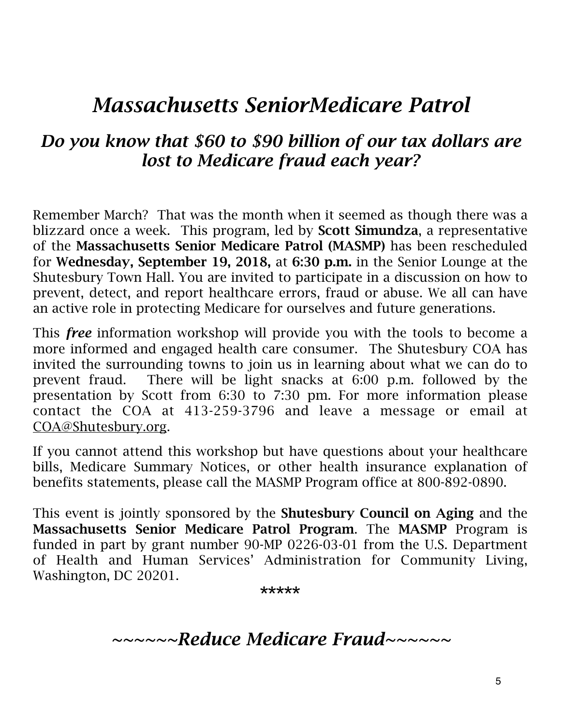# *Massachusetts SeniorMedicare Patrol*

#### *Do you know that \$60 to \$90 billion of our tax dollars are lost to Medicare fraud each year?*

Remember March? That was the month when it seemed as though there was a blizzard once a week. This program, led by **Scott Simundza**, a representative of the Massachusetts Senior Medicare Patrol (MASMP) has been rescheduled for Wednesday, September 19, 2018, at 6:30 p.m. in the Senior Lounge at the Shutesbury Town Hall. You are invited to participate in a discussion on how to prevent, detect, and report healthcare errors, fraud or abuse. We all can have an active role in protecting Medicare for ourselves and future generations.

This *free* information workshop will provide you with the tools to become a more informed and engaged health care consumer. The Shutesbury COA has invited the surrounding towns to join us in learning about what we can do to prevent fraud. There will be light snacks at 6:00 p.m. followed by the presentation by Scott from 6:30 to 7:30 pm. For more information please contact the COA at 413-259-3796 and leave a message or email at [COA@Shutesbury.org](mailto:COA@Shutesbury.org).

If you cannot attend this workshop but have questions about your healthcare bills, Medicare Summary Notices, or other health insurance explanation of benefits statements, please call the MASMP Program office at 800-892-0890.

This event is jointly sponsored by the Shutesbury Council on Aging and the Massachusetts Senior Medicare Patrol Program. The MASMP Program is funded in part by grant number 90-MP 0226-03-01 from the U.S. Department of Health and Human Services' Administration for Community Living, Washington, DC 20201.

**\*\*\*\*\*** 

*~~~~~~Reduce Medicare Fraud~~~~~~*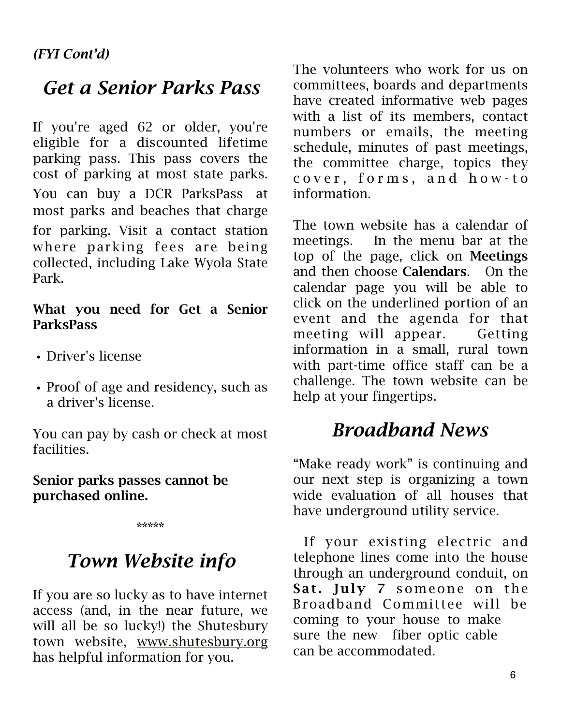# *Get a Senior Parks Pass*

If you're aged 62 or older, you're eligible for a discounted lifetime parking pass. This pass covers the cost of parking at most state parks. You can buy a DCR ParksPass at most parks and beaches that charge for parking. Visit a contact station where parking fees are being collected, including Lake Wyola State Park.

#### What you need for Get a Senior ParksPass

- *•* Driver's license
- *•* Proof of age and residency, such as a driver's license.

You can pay by cash or check at most facilities.

#### Senior parks passes cannot be purchased online.

\*\*\*\*\*

# *Town Website info*

If you are so lucky as to have internet access (and, in the near future, we will all be so lucky!) the Shutesbury town website, [www.shutesbury.org](http://www.shutesbury.org/) has helpful information for you.

The volunteers who work for us on committees, boards and departments have created informative web pages with a list of its members, contact numbers or emails, the meeting schedule, minutes of past meetings, the committee charge, topics they cover, forms, and how-to information.

The town website has a calendar of meetings. In the menu bar at the top of the page, click on Meetings and then choose Calendars. On the calendar page you will be able to click on the underlined portion of an event and the agenda for that meeting will appear. Getting information in a small, rural town with part-time office staff can be a challenge. The town website can be help at your fingertips.

# *Broadband News*

"Make ready work" is continuing and our next step is organizing a town wide evaluation of all houses that have underground utility service.

 If your existing electric and telephone lines come into the house through an underground conduit, on Sat. July 7 someone on the Broadband Committee will be coming to your house to make sure the new fiber optic cable can be accommodated.